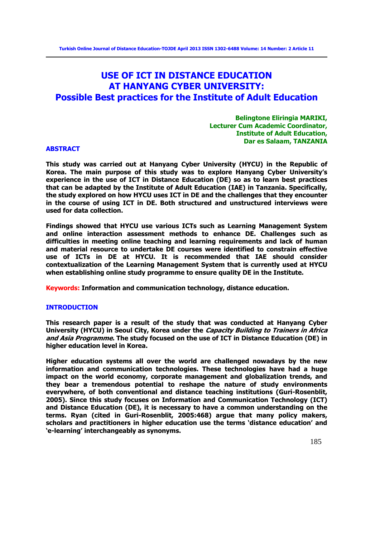# **USE OF ICT IN DISTANCE EDUCATION AT HANYANG CYBER UNIVERSITY: Possible Best practices for the Institute of Adult Education**

**Belingtone Eliringia MARIKI, Lecturer Cum Academic Coordinator, Institute of Adult Education, Dar es Salaam, TANZANIA**

#### **ABSTRACT**

**This study was carried out at Hanyang Cyber University (HYCU) in the Republic of Korea. The main purpose of this study was to explore Hanyang Cyber University's experience in the use of ICT in Distance Education (DE) so as to learn best practices that can be adapted by the Institute of Adult Education (IAE) in Tanzania. Specifically, the study explored on how HYCU uses ICT in DE and the challenges that they encounter in the course of using ICT in DE. Both structured and unstructured interviews were used for data collection.** 

**Findings showed that HYCU use various ICTs such as Learning Management System and online interaction assessment methods to enhance DE. Challenges such as difficulties in meeting online teaching and learning requirements and lack of human and material resource to undertake DE courses were identified to constrain effective use of ICTs in DE at HYCU. It is recommended that IAE should consider contextualization of the Learning Management System that is currently used at HYCU when establishing online study programme to ensure quality DE in the Institute.** 

**Keywords: Information and communication technology, distance education.**

#### **INTRODUCTION**

**This research paper is a result of the study that was conducted at Hanyang Cyber University (HYCU) in Seoul City, Korea under the Capacity Building to Trainers in Africa and Asia Programme. The study focused on the use of ICT in Distance Education (DE) in higher education level in Korea.** 

**Higher education systems all over the world are challenged nowadays by the new information and communication technologies. These technologies have had a huge impact on the world economy, corporate management and globalization trends, and they bear a tremendous potential to reshape the nature of study environments everywhere, of both conventional and distance teaching institutions (Guri-Rosenblit, 2005). Since this study focuses on Information and Communication Technology (ICT) and Distance Education (DE), it is necessary to have a common understanding on the terms. Ryan (cited in Guri-Rosenblit, 2005:468) argue that many policy makers, scholars and practitioners in higher education use the terms 'distance education' and 'e-learning' interchangeably as synonyms.**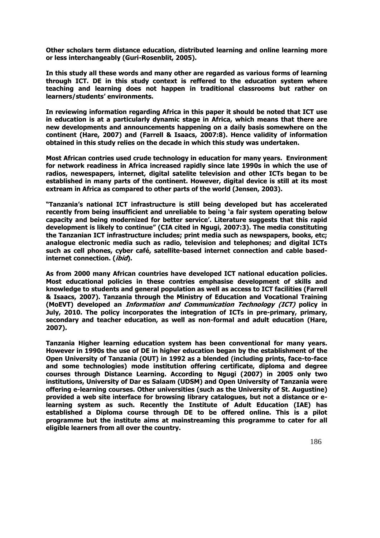**Other scholars term distance education, distributed learning and online learning more or less interchangeably (Guri-Rosenblit, 2005).** 

**In this study all these words and many other are regarded as various forms of learning through ICT. DE in this study context is reffered to the education system where teaching and learning does not happen in traditional classrooms but rather on learners/students' environments.** 

**In reviewing information regarding Africa in this paper it should be noted that ICT use in education is at a particularly dynamic stage in Africa, which means that there are new developments and announcements happening on a daily basis somewhere on the continent (Hare, 2007) and (Farrell & Isaacs, 2007:8). Hence validity of information obtained in this study relies on the decade in which this study was undertaken.**

**Most African contries used crude technology in education for many years. Environment for network readiness in Africa increased rapidly since late 1990s in which the use of radios, newespapers, internet, digital satelite television and other ICTs began to be established in many parts of the continent. However, digital device is still at its most extream in Africa as compared to other parts of the world (Jensen, 2003).** 

**"Tanzania's national ICT infrastructure is still being developed but has accelerated recently from being insufficient and unreliable to being 'a fair system operating below capacity and being modernized for better service'. Literature suggests that this rapid development is likely to continue" (CIA cited in Ngugi, 2007:3). The media constituting the Tanzanian ICT infrastructure includes; print media such as newspapers, books, etc; analogue electronic media such as radio, television and telephones; and digital ICTs such as cell phones, cyber café, satellite-based internet connection and cable basedinternet connection. (ibid).**

**As from 2000 many African countries have developed ICT national education policies. Most educational policies in these contries emphasise development of skills and knowledge to students and general population as well as access to ICT facilities (Farrell & Isaacs, 2007). Tanzania through the Ministry of Education and Vocational Training (MoEVT) developed an Information and Communication Technology (ICT) policy in July, 2010. The policy incorporates the integration of ICTs in pre-primary, primary, secondary and teacher education, as well as non-formal and adult education (Hare, 2007).**

**Tanzania Higher learning education system has been conventional for many years. However in 1990s the use of DE in higher education began by the establishment of the Open University of Tanzania (OUT) in 1992 as a blended (including prints, face-to-face and some technologies) mode institution offering certificate, diploma and degree courses through Distance Learning. According to Ngugi (2007) in 2005 only two institutions, University of Dar es Salaam (UDSM) and Open University of Tanzania were offering e-learning courses. Other universities (such as the University of St. Augustine) provided a web site interface for browsing library catalogues, but not a distance or elearning system as such. Recently the Institute of Adult Education (IAE) has established a Diploma course through DE to be offered online. This is a pilot programme but the institute aims at mainstreaming this programme to cater for all eligible learners from all over the country.**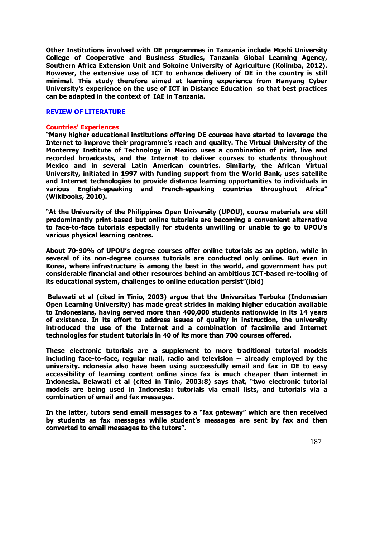**Other Institutions involved with DE programmes in Tanzania include Moshi University College of Cooperative and Business Studies, Tanzania Global Learning Agency, Southern Africa Extension Unit and Sokoine University of Agriculture (Kolimba, 2012). However, the extensive use of ICT to enhance delivery of DE in the country is still minimal. This study therefore aimed at learning experience from Hanyang Cyber University's experience on the use of ICT in Distance Education so that best practices can be adapted in the context of IAE in Tanzania.** 

#### **REVIEW OF LITERATURE**

#### **Countries' Experiences**

**"Many higher educational institutions offering DE courses have started to leverage the Internet to improve their programme's reach and quality. The Virtual University of the Monterrey Institute of Technology in Mexico uses a combination of print, live and recorded broadcasts, and the Internet to deliver courses to students throughout Mexico and in several Latin American countries. Similarly, the African Virtual University, initiated in 1997 with funding support from the World Bank, uses satellite and Internet technologies to provide distance learning opportunities to individuals in various English-speaking and French-speaking countries throughout Africa" (Wikibooks, 2010).**

**"At the University of the Philippines Open University (UPOU), course materials are still predominantly print-based but online tutorials are becoming a convenient alternative to face-to-face tutorials especially for students unwilling or unable to go to UPOU's various physical learning centres.** 

**About 70-90% of UPOU's degree courses offer online tutorials as an option, while in several of its non-degree courses tutorials are conducted only online. But even in Korea, where infrastructure is among the best in the world, and government has put considerable financial and other resources behind an ambitious ICT-based re-tooling of its educational system, challenges to online education persist"(ibid)** 

**Belawati et al (cited in Tinio, 2003) argue that the Universitas Terbuka (Indonesian Open Learning University) has made great strides in making higher education available to Indonesians, having served more than 400,000 students nationwide in its 14 years of existence. In its effort to address issues of quality in instruction, the university introduced the use of the Internet and a combination of facsimile and Internet technologies for student tutorials in 40 of its more than 700 courses offered.** 

**These electronic tutorials are a supplement to more traditional tutorial models including face-to-face, regular mail, radio and television -- already employed by the university. ndonesia also have been using successfully email and fax in DE to easy accessibility of learning content online since fax is much cheaper than internet in Indonesia. Belawati et al (cited in Tinio, 2003:8) says that, "two electronic tutorial models are being used in Indonesia: tutorials via email lists, and tutorials via a combination of email and fax messages.** 

**In the latter, tutors send email messages to a "fax gateway" which are then received by students as fax messages while student's messages are sent by fax and then converted to email messages to the tutors".**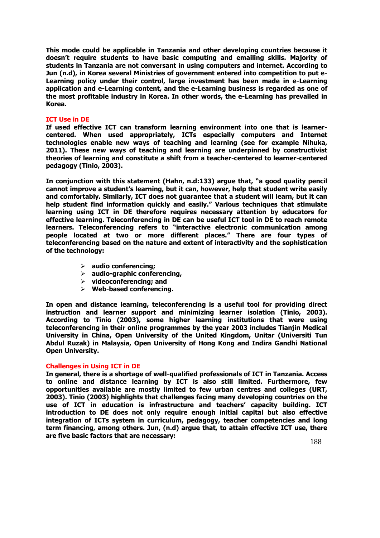**This mode could be applicable in Tanzania and other developing countries because it doesn't require students to have basic computing and emailing skills. Majority of students in Tanzania are not conversant in using computers and internet. According to Jun (n.d), in Korea several Ministries of government entered into competition to put e-Learning policy under their control, large investment has been made in e-Learning application and e-Learning content, and the e-Learning business is regarded as one of the most profitable industry in Korea. In other words, the e-Learning has prevailed in Korea.**

## **ICT Use in DE**

**If used effective ICT can transform learning environment into one that is learnercentered. When used appropriately, ICTs especially computers and Internet technologies enable new ways of teaching and learning (see for example Nihuka, 2011). These new ways of teaching and learning are underpinned by constructivist theories of learning and constitute a shift from a teacher-centered to learner-centered pedagogy (Tinio, 2003).**

**In conjunction with this statement (Hahn, n.d:133) argue that, "a good quality pencil cannot improve a student's learning, but it can, however, help that student write easily and comfortably. Similarly, ICT does not guarantee that a student will learn, but it can help student find information quickly and easily." Various techniques that stimulate learning using ICT in DE therefore requires necessary attention by educators for effective learning. Teleconferencing in DE can be useful ICT tool in DE to reach remote learners. Teleconferencing refers to "interactive electronic communication among people located at two or more different places." There are four types of teleconferencing based on the nature and extent of interactivity and the sophistication of the technology:** 

- **audio conferencing;**
- **audio-graphic conferencing,**
- **videoconferencing; and**
- **Web-based conferencing.**

**In open and distance learning, teleconferencing is a useful tool for providing direct instruction and learner support and minimizing learner isolation (Tinio, 2003). According to Tinio (2003), some higher learning institutions that were using teleconferencing in their online programmes by the year 2003 includes Tianjin Medical University in China, Open University of the United Kingdom, Unitar (Universiti Tun Abdul Ruzak) in Malaysia, Open University of Hong Kong and Indira Gandhi National Open University.**

## **Challenges in Using ICT in DE**

**In general, there is a shortage of well-qualified professionals of ICT in Tanzania. Access to online and distance learning by ICT is also still limited. Furthermore, few opportunities available are mostly limited to few urban centres and colleges (URT, 2003). Tinio (2003) highlights that challenges facing many developing countries on the use of ICT in education is infrastructure and teachers' capacity building. ICT introduction to DE does not only require enough initial capital but also effective integration of ICTs system in curriculum, pedagogy, teacher competencies and long term financing, among others. Jun, (n.d) argue that, to attain effective ICT use, there are five basic factors that are necessary:**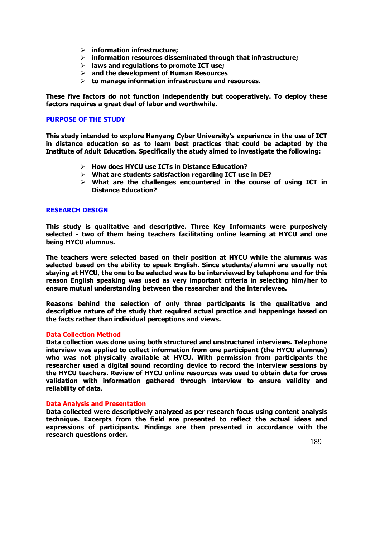- **information infrastructure;**
- **information resources disseminated through that infrastructure;**
- **laws and regulations to promote ICT use;**
- **and the development of Human Resources**
- **to manage information infrastructure and resources.**

**These five factors do not function independently but cooperatively. To deploy these factors requires a great deal of labor and worthwhile.**

## **PURPOSE OF THE STUDY**

**This study intended to explore Hanyang Cyber University's experience in the use of ICT in distance education so as to learn best practices that could be adapted by the Institute of Adult Education. Specifically the study aimed to investigate the following:** 

- **How does HYCU use ICTs in Distance Education?**
- **What are students satisfaction regarding ICT use in DE?**
- **What are the challenges encountered in the course of using ICT in Distance Education?**

## **RESEARCH DESIGN**

**This study is qualitative and descriptive. Three Key Informants were purposively selected - two of them being teachers facilitating online learning at HYCU and one being HYCU alumnus.** 

**The teachers were selected based on their position at HYCU while the alumnus was selected based on the ability to speak English. Since students/alumni are usually not staying at HYCU, the one to be selected was to be interviewed by telephone and for this reason English speaking was used as very important criteria in selecting him/her to ensure mutual understanding between the researcher and the interviewee.** 

**Reasons behind the selection of only three participants is the qualitative and descriptive nature of the study that required actual practice and happenings based on the facts rather than individual perceptions and views.** 

## **Data Collection Method**

**Data collection was done using both structured and unstructured interviews. Telephone interview was applied to collect information from one participant (the HYCU alumnus) who was not physically available at HYCU. With permission from participants the researcher used a digital sound recording device to record the interview sessions by the HYCU teachers. Review of HYCU online resources was used to obtain data for cross validation with information gathered through interview to ensure validity and reliability of data.** 

## **Data Analysis and Presentation**

**Data collected were descriptively analyzed as per research focus using content analysis technique. Excerpts from the field are presented to reflect the actual ideas and expressions of participants. Findings are then presented in accordance with the research questions order.**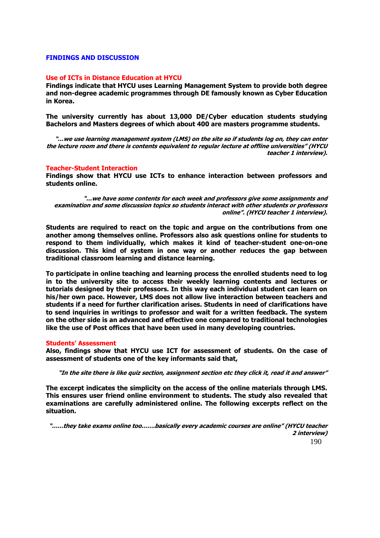## **FINDINGS AND DISCUSSION**

#### **Use of ICTs in Distance Education at HYCU**

**Findings indicate that HYCU uses Learning Management System to provide both degree and non-degree academic programmes through DE famously known as Cyber Education in Korea.** 

**The university currently has about 13,000 DE/Cyber education students studying Bachelors and Masters degrees of which about 400 are masters programme students.** 

**"…we use learning management system (LMS) on the site so if students log on, they can enter the lecture room and there is contents equivalent to regular lecture at offline universities" (HYCU teacher 1 interview).** 

#### **Teacher-Student Interaction**

**Findings show that HYCU use ICTs to enhance interaction between professors and students online.**

**"…we have some contents for each week and professors give some assignments and examination and some discussion topics so students interact with other students or professors online". (HYCU teacher 1 interview).**

**Students are required to react on the topic and argue on the contributions from one another among themselves online. Professors also ask questions online for students to respond to them individually, which makes it kind of teacher-student one-on-one discussion. This kind of system in one way or another reduces the gap between traditional classroom learning and distance learning.** 

**To participate in online teaching and learning process the enrolled students need to log in to the university site to access their weekly learning contents and lectures or tutorials designed by their professors. In this way each individual student can learn on his/her own pace. However, LMS does not allow live interaction between teachers and students if a need for further clarification arises. Students in need of clarifications have to send inquiries in writings to professor and wait for a written feedback. The system on the other side is an advanced and effective one compared to traditional technologies like the use of Post offices that have been used in many developing countries.** 

#### **Students' Assessment**

**Also, findings show that HYCU use ICT for assessment of students. On the case of assessment of students one of the key informants said that,**

**"In the site there is like quiz section, assignment section etc they click it, read it and answer"**

**The excerpt indicates the simplicity on the access of the online materials through LMS. This ensures user friend online environment to students. The study also revealed that examinations are carefully administered online. The following excerpts reflect on the situation.**

190 **"……they take exams online too…….basically every academic courses are online" (HYCU teacher 2 interview)**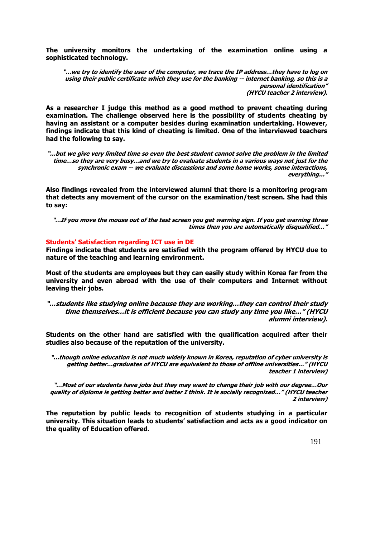**The university monitors the undertaking of the examination online using a sophisticated technology.**

**"…we try to identify the user of the computer, we trace the IP address…they have to log on using their public certificate which they use for the banking -- internet banking, so this is a personal identification" (HYCU teacher 2 interview).**

**As a researcher I judge this method as a good method to prevent cheating during examination. The challenge observed here is the possibility of students cheating by having an assistant or a computer besides during examination undertaking. However, findings indicate that this kind of cheating is limited. One of the interviewed teachers had the following to say.**

**"…but we give very limited time so even the best student cannot solve the problem in the limited time…so they are very busy…and we try to evaluate students in a various ways not just for the synchronic exam -- we evaluate discussions and some home works, some interactions, everything…"** 

**Also findings revealed from the interviewed alumni that there is a monitoring program that detects any movement of the cursor on the examination/test screen. She had this to say:**

**"…If you move the mouse out of the test screen you get warning sign. If you get warning three times then you are automatically disqualified…"**

## **Students' Satisfaction regarding ICT use in DE**

**Findings indicate that students are satisfied with the program offered by HYCU due to nature of the teaching and learning environment.** 

**Most of the students are employees but they can easily study within Korea far from the university and even abroad with the use of their computers and Internet without leaving their jobs.**

**"…students like studying online because they are working…they can control their study time themselves…it is efficient because you can study any time you like…" (HYCU alumni interview).**

**Students on the other hand are satisfied with the qualification acquired after their studies also because of the reputation of the university.**

**"…though online education is not much widely known in Korea, reputation of cyber university is getting better…graduates of HYCU are equivalent to those of offline universities…" (HYCU teacher 1 interview)**

**"…Most of our students have jobs but they may want to change their job with our degree…Our quality of diploma is getting better and better I think. It is socially recognized…" (HYCU teacher 2 interview)**

**The reputation by public leads to recognition of students studying in a particular university. This situation leads to students' satisfaction and acts as a good indicator on the quality of Education offered.**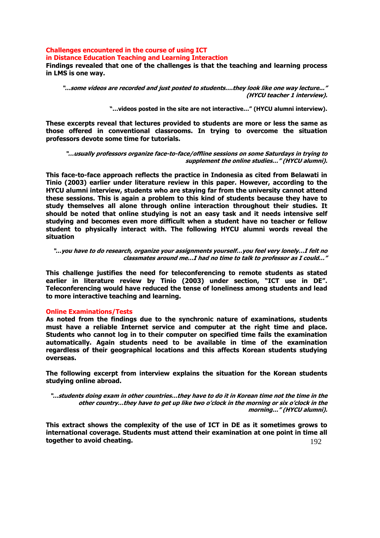# **Challenges encountered in the course of using ICT in Distance Education Teaching and Learning Interaction**

**Findings revealed that one of the challenges is that the teaching and learning process in LMS is one way.**

**"…some videos are recorded and just posted to students….they look like one way lecture..." (HYCU teacher 1 interview).**

**"…videos posted in the site are not interactive…" (HYCU alumni interview).**

**These excerpts reveal that lectures provided to students are more or less the same as those offered in conventional classrooms. In trying to overcome the situation professors devote some time for tutorials.**

**"…usually professors organize face-to-face/offline sessions on some Saturdays in trying to supplement the online studies…" (HYCU alumni).**

**This face-to-face approach reflects the practice in Indonesia as cited from Belawati in Tinio (2003) earlier under literature review in this paper. However, according to the HYCU alumni interview, students who are staying far from the university cannot attend these sessions. This is again a problem to this kind of students because they have to study themselves all alone through online interaction throughout their studies. It should be noted that online studying is not an easy task and it needs intensive self studying and becomes even more difficult when a student have no teacher or fellow student to physically interact with. The following HYCU alumni words reveal the situation**

**"…you have to do research, organize your assignments yourself…you feel very lonely…I felt no classmates around me…I had no time to talk to professor as I could…"**

**This challenge justifies the need for teleconferencing to remote students as stated earlier in literature review by Tinio (2003) under section, "ICT use in DE". Teleconferencing would have reduced the tense of loneliness among students and lead to more interactive teaching and learning.**

## **Online Examinations/Tests**

**As noted from the findings due to the synchronic nature of examinations, students must have a reliable Internet service and computer at the right time and place. Students who cannot log in to their computer on specified time fails the examination automatically. Again students need to be available in time of the examination regardless of their geographical locations and this affects Korean students studying overseas.** 

**The following excerpt from interview explains the situation for the Korean students studying online abroad.**

**"…students doing exam in other countries…they have to do it in Korean time not the time in the other country…they have to get up like two o'clock in the morning or six o'clock in the morning…" (HYCU alumni).** 

192 **This extract shows the complexity of the use of ICT in DE as it sometimes grows to international coverage. Students must attend their examination at one point in time all together to avoid cheating.**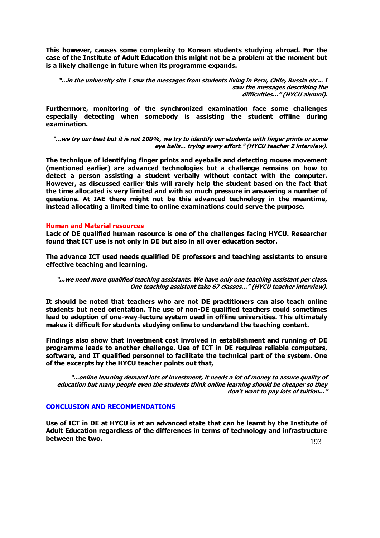**This however, causes some complexity to Korean students studying abroad. For the case of the Institute of Adult Education this might not be a problem at the moment but is a likely challenge in future when its programme expands.**

**"…in the university site I saw the messages from students living in Peru, Chile, Russia etc… I saw the messages describing the difficulties…" (HYCU alumni).**

**Furthermore, monitoring of the synchronized examination face some challenges especially detecting when somebody is assisting the student offline during examination.** 

**"…we try our best but it is not 100%, we try to identify our students with finger prints or some eye balls... trying every effort." (HYCU teacher 2 interview).**

**The technique of identifying finger prints and eyeballs and detecting mouse movement (mentioned earlier) are advanced technologies but a challenge remains on how to detect a person assisting a student verbally without contact with the computer. However, as discussed earlier this will rarely help the student based on the fact that the time allocated is very limited and with so much pressure in answering a number of questions. At IAE there might not be this advanced technology in the meantime, instead allocating a limited time to online examinations could serve the purpose.**

#### **Human and Material resources**

**Lack of DE qualified human resource is one of the challenges facing HYCU. Researcher found that ICT use is not only in DE but also in all over education sector.** 

**The advance ICT used needs qualified DE professors and teaching assistants to ensure effective teaching and learning.**

**"…we need more qualified teaching assistants. We have only one teaching assistant per class. One teaching assistant take 67 classes…" (HYCU teacher interview).** 

**It should be noted that teachers who are not DE practitioners can also teach online students but need orientation. The use of non-DE qualified teachers could sometimes lead to adoption of one-way-lecture system used in offline universities. This ultimately makes it difficult for students studying online to understand the teaching content.**

**Findings also show that investment cost involved in establishment and running of DE programme leads to another challenge. Use of ICT in DE requires reliable computers, software, and IT qualified personnel to facilitate the technical part of the system. One of the excerpts by the HYCU teacher points out that,**

**"…online learning demand lots of investment, it needs a lot of money to assure quality of education but many people even the students think online learning should be cheaper so they don't want to pay lots of tuition…"**

#### **CONCLUSION AND RECOMMENDATIONS**

193 **Use of ICT in DE at HYCU is at an advanced state that can be learnt by the Institute of Adult Education regardless of the differences in terms of technology and infrastructure between the two.**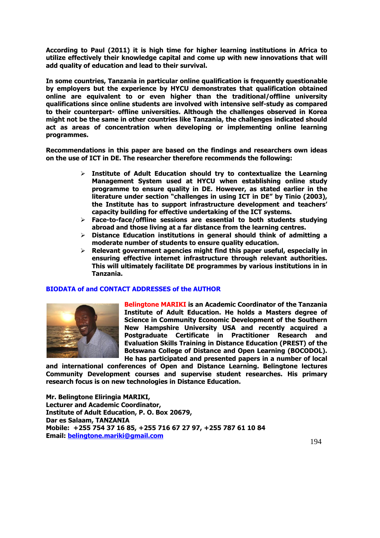**According to Paul (2011) it is high time for higher learning institutions in Africa to utilize effectively their knowledge capital and come up with new innovations that will add quality of education and lead to their survival.**

**In some countries, Tanzania in particular online qualification is frequently questionable by employers but the experience by HYCU demonstrates that qualification obtained online are equivalent to or even higher than the traditional/offline university qualifications since online students are involved with intensive self-study as compared to their counterpart- offline universities. Although the challenges observed in Korea might not be the same in other countries like Tanzania, the challenges indicated should act as areas of concentration when developing or implementing online learning programmes.**

**Recommendations in this paper are based on the findings and researchers own ideas on the use of ICT in DE. The researcher therefore recommends the following:**

- **Institute of Adult Education should try to contextualize the Learning Management System used at HYCU when establishing online study programme to ensure quality in DE. However, as stated earlier in the literature under section "challenges in using ICT in DE" by Tinio (2003), the Institute has to support infrastructure development and teachers' capacity building for effective undertaking of the ICT systems.**
- **Face-to-face/offline sessions are essential to both students studying abroad and those living at a far distance from the learning centres.**
- **Distance Education institutions in general should think of admitting a moderate number of students to ensure quality education.**
- **Relevant government agencies might find this paper useful, especially in ensuring effective internet infrastructure through relevant authorities. This will ultimately facilitate DE programmes by various institutions in in Tanzania.**

## **BIODATA of and CONTACT ADDRESSES of the AUTHOR**



**Belingtone MARIKI is an Academic Coordinator of the Tanzania Institute of Adult Education. He holds a Masters degree of Science in Community Economic Development of the Southern New Hampshire University USA and recently acquired a Postgraduate Certificate in Practitioner Research and Evaluation Skills Training in Distance Education (PREST) of the Botswana College of Distance and Open Learning (BOCODOL). He has participated and presented papers in a number of local** 

**and international conferences of Open and Distance Learning. Belingtone lectures Community Development courses and supervise student researches. His primary research focus is on new technologies in Distance Education.**

**Mr. Belingtone Eliringia MARIKI, Lecturer and Academic Coordinator, Institute of Adult Education, P. O. Box 20679, Dar es Salaam, TANZANIA Mobile: +255 754 37 16 85, +255 716 67 27 97, +255 787 61 10 84 Email: [belingtone.mariki@gmail.com](mailto:belingtone.mariki@gmail.com)**